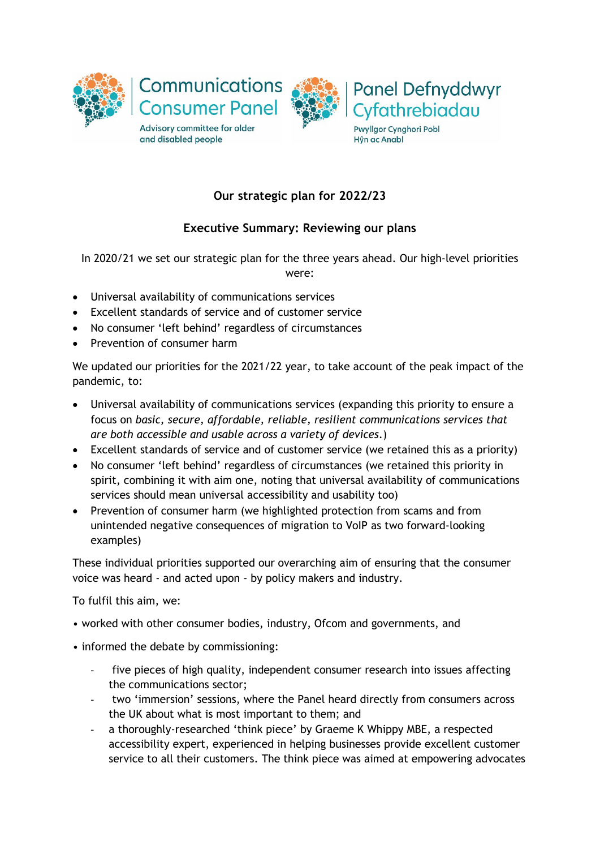



Pwyllgor Cynghori Pobl Hŷn ac Anabl

# **Our strategic plan for 2022/23**

# **Executive Summary: Reviewing our plans**

In 2020/21 we set our strategic plan for the three years ahead. Our high-level priorities were:

- Universal availability of communications services
- Excellent standards of service and of customer service
- No consumer 'left behind' regardless of circumstances
- Prevention of consumer harm

We updated our priorities for the 2021/22 year, to take account of the peak impact of the pandemic, to:

- Universal availability of communications services (expanding this priority to ensure a focus on *basic, secure, affordable, reliable, resilient communications services that are both accessible and usable across a variety of devices*.)
- Excellent standards of service and of customer service (we retained this as a priority)
- No consumer 'left behind' regardless of circumstances (we retained this priority in spirit, combining it with aim one, noting that universal availability of communications services should mean universal accessibility and usability too)
- Prevention of consumer harm (we highlighted protection from scams and from unintended negative consequences of migration to VoIP as two forward-looking examples)

These individual priorities supported our overarching aim of ensuring that the consumer voice was heard - and acted upon - by policy makers and industry.

To fulfil this aim, we:

- worked with other consumer bodies, industry, Ofcom and governments, and
- informed the debate by commissioning:
	- five pieces of high quality, independent consumer research into issues affecting the communications sector;
	- two 'immersion' sessions, where the Panel heard directly from consumers across the UK about what is most important to them; and
	- a thoroughly-researched 'think piece' by Graeme K Whippy MBE, a respected accessibility expert, experienced in helping businesses provide excellent customer service to all their customers. The think piece was aimed at empowering advocates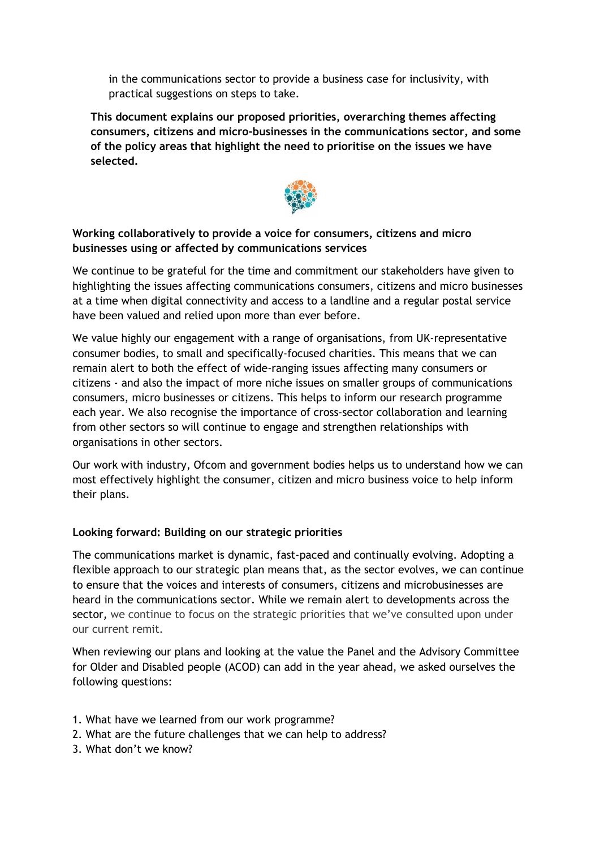in the communications sector to provide a business case for inclusivity, with practical suggestions on steps to take.

**This document explains our proposed priorities, overarching themes affecting consumers, citizens and micro-businesses in the communications sector, and some of the policy areas that highlight the need to prioritise on the issues we have selected.**



# **Working collaboratively to provide a voice for consumers, citizens and micro businesses using or affected by communications services**

We continue to be grateful for the time and commitment our stakeholders have given to highlighting the issues affecting communications consumers, citizens and micro businesses at a time when digital connectivity and access to a landline and a regular postal service have been valued and relied upon more than ever before.

We value highly our engagement with a range of organisations, from UK-representative consumer bodies, to small and specifically-focused charities. This means that we can remain alert to both the effect of wide-ranging issues affecting many consumers or citizens - and also the impact of more niche issues on smaller groups of communications consumers, micro businesses or citizens. This helps to inform our research programme each year. We also recognise the importance of cross-sector collaboration and learning from other sectors so will continue to engage and strengthen relationships with organisations in other sectors.

Our work with industry, Ofcom and government bodies helps us to understand how we can most effectively highlight the consumer, citizen and micro business voice to help inform their plans.

# **Looking forward: Building on our strategic priorities**

The communications market is dynamic, fast-paced and continually evolving. Adopting a flexible approach to our strategic plan means that, as the sector evolves, we can continue to ensure that the voices and interests of consumers, citizens and microbusinesses are heard in the communications sector. While we remain alert to developments across the sector*,* we continue to focus on the strategic priorities that we've consulted upon under our current remit.

When reviewing our plans and looking at the value the Panel and the Advisory Committee for Older and Disabled people (ACOD) can add in the year ahead, we asked ourselves the following questions:

- 1. What have we learned from our work programme?
- 2. What are the future challenges that we can help to address?
- 3. What don't we know?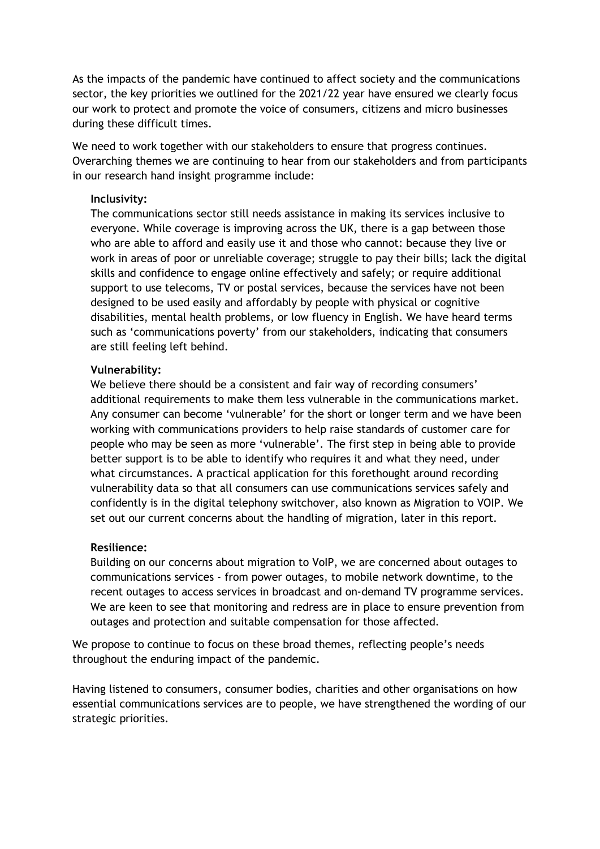As the impacts of the pandemic have continued to affect society and the communications sector, the key priorities we outlined for the 2021/22 year have ensured we clearly focus our work to protect and promote the voice of consumers, citizens and micro businesses during these difficult times.

We need to work together with our stakeholders to ensure that progress continues. Overarching themes we are continuing to hear from our stakeholders and from participants in our research hand insight programme include:

#### **Inclusivity:**

The communications sector still needs assistance in making its services inclusive to everyone. While coverage is improving across the UK, there is a gap between those who are able to afford and easily use it and those who cannot: because they live or work in areas of poor or unreliable coverage; struggle to pay their bills; lack the digital skills and confidence to engage online effectively and safely; or require additional support to use telecoms, TV or postal services, because the services have not been designed to be used easily and affordably by people with physical or cognitive disabilities, mental health problems, or low fluency in English. We have heard terms such as 'communications poverty' from our stakeholders, indicating that consumers are still feeling left behind.

#### **Vulnerability:**

We believe there should be a consistent and fair way of recording consumers' additional requirements to make them less vulnerable in the communications market. Any consumer can become 'vulnerable' for the short or longer term and we have been working with communications providers to help raise standards of customer care for people who may be seen as more 'vulnerable'. The first step in being able to provide better support is to be able to identify who requires it and what they need, under what circumstances. A practical application for this forethought around recording vulnerability data so that all consumers can use communications services safely and confidently is in the digital telephony switchover, also known as Migration to VOIP. We set out our current concerns about the handling of migration, later in this report.

#### **Resilience:**

Building on our concerns about migration to VoIP, we are concerned about outages to communications services - from power outages, to mobile network downtime, to the recent outages to access services in broadcast and on-demand TV programme services. We are keen to see that monitoring and redress are in place to ensure prevention from outages and protection and suitable compensation for those affected.

We propose to continue to focus on these broad themes, reflecting people's needs throughout the enduring impact of the pandemic.

Having listened to consumers, consumer bodies, charities and other organisations on how essential communications services are to people, we have strengthened the wording of our strategic priorities.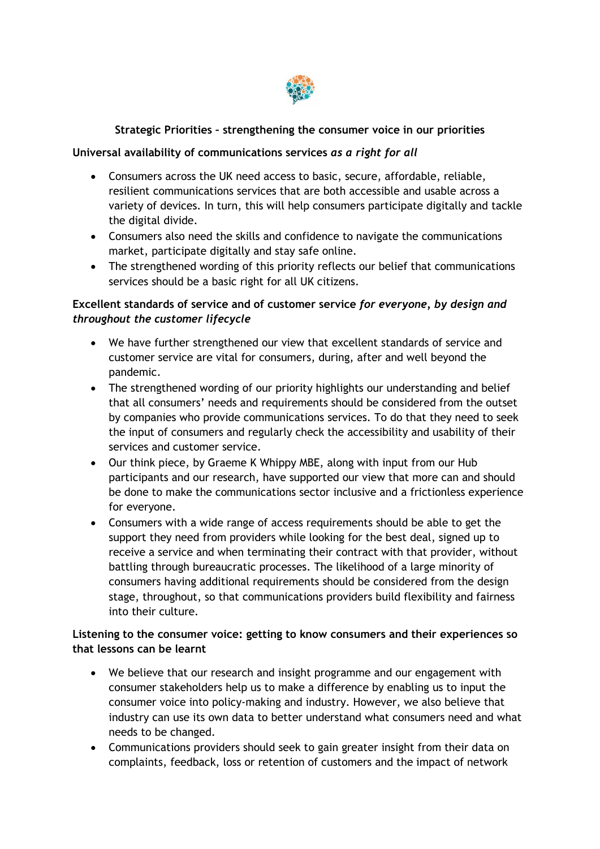

# **Strategic Priorities – strengthening the consumer voice in our priorities**

### **Universal availability of communications services** *as a right for all*

- Consumers across the UK need access to basic, secure, affordable, reliable, resilient communications services that are both accessible and usable across a variety of devices. In turn, this will help consumers participate digitally and tackle the digital divide.
- Consumers also need the skills and confidence to navigate the communications market, participate digitally and stay safe online.
- The strengthened wording of this priority reflects our belief that communications services should be a basic right for all UK citizens.

# **Excellent standards of service and of customer service** *for everyone, by design and throughout the customer lifecycle*

- We have further strengthened our view that excellent standards of service and customer service are vital for consumers, during, after and well beyond the pandemic.
- The strengthened wording of our priority highlights our understanding and belief that all consumers' needs and requirements should be considered from the outset by companies who provide communications services. To do that they need to seek the input of consumers and regularly check the accessibility and usability of their services and customer service.
- Our think piece, by Graeme K Whippy MBE, along with input from our Hub participants and our research, have supported our view that more can and should be done to make the communications sector inclusive and a frictionless experience for everyone.
- Consumers with a wide range of access requirements should be able to get the support they need from providers while looking for the best deal, signed up to receive a service and when terminating their contract with that provider, without battling through bureaucratic processes. The likelihood of a large minority of consumers having additional requirements should be considered from the design stage, throughout, so that communications providers build flexibility and fairness into their culture.

# **Listening to the consumer voice: getting to know consumers and their experiences so that lessons can be learnt**

- We believe that our research and insight programme and our engagement with consumer stakeholders help us to make a difference by enabling us to input the consumer voice into policy-making and industry. However, we also believe that industry can use its own data to better understand what consumers need and what needs to be changed.
- Communications providers should seek to gain greater insight from their data on complaints, feedback, loss or retention of customers and the impact of network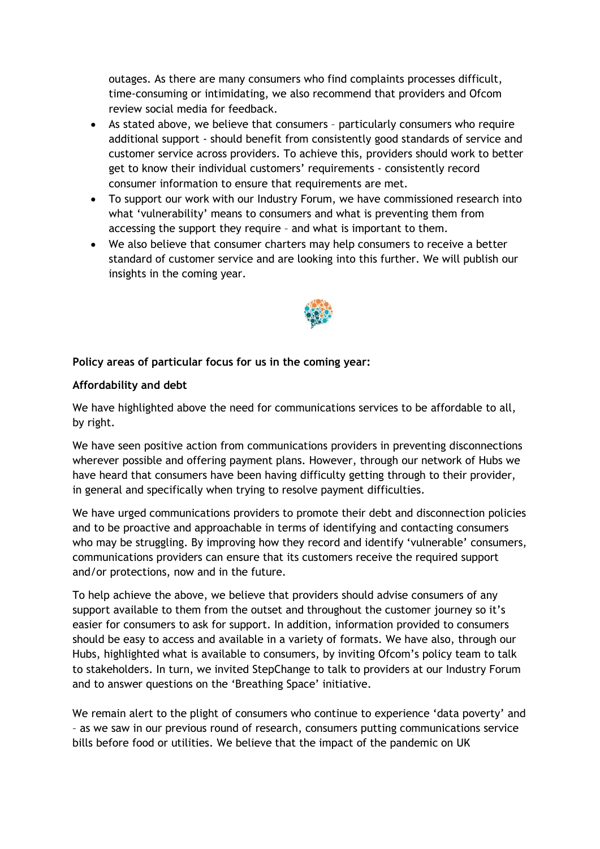outages. As there are many consumers who find complaints processes difficult, time-consuming or intimidating, we also recommend that providers and Ofcom review social media for feedback.

- As stated above, we believe that consumers particularly consumers who require additional support - should benefit from consistently good standards of service and customer service across providers. To achieve this, providers should work to better get to know their individual customers' requirements - consistently record consumer information to ensure that requirements are met.
- To support our work with our Industry Forum, we have commissioned research into what 'vulnerability' means to consumers and what is preventing them from accessing the support they require – and what is important to them.
- We also believe that consumer charters may help consumers to receive a better standard of customer service and are looking into this further. We will publish our insights in the coming year.



### **Policy areas of particular focus for us in the coming year:**

#### **Affordability and debt**

We have highlighted above the need for communications services to be affordable to all, by right.

We have seen positive action from communications providers in preventing disconnections wherever possible and offering payment plans. However, through our network of Hubs we have heard that consumers have been having difficulty getting through to their provider, in general and specifically when trying to resolve payment difficulties.

We have urged communications providers to promote their debt and disconnection policies and to be proactive and approachable in terms of identifying and contacting consumers who may be struggling. By improving how they record and identify 'vulnerable' consumers, communications providers can ensure that its customers receive the required support and/or protections, now and in the future.

To help achieve the above, we believe that providers should advise consumers of any support available to them from the outset and throughout the customer journey so it's easier for consumers to ask for support. In addition, information provided to consumers should be easy to access and available in a variety of formats. We have also, through our Hubs, highlighted what is available to consumers, by inviting Ofcom's policy team to talk to stakeholders. In turn, we invited StepChange to talk to providers at our Industry Forum and to answer questions on the 'Breathing Space' initiative.

We remain alert to the plight of consumers who continue to experience 'data poverty' and – as we saw in our previous round of research, consumers putting communications service bills before food or utilities. We believe that the impact of the pandemic on UK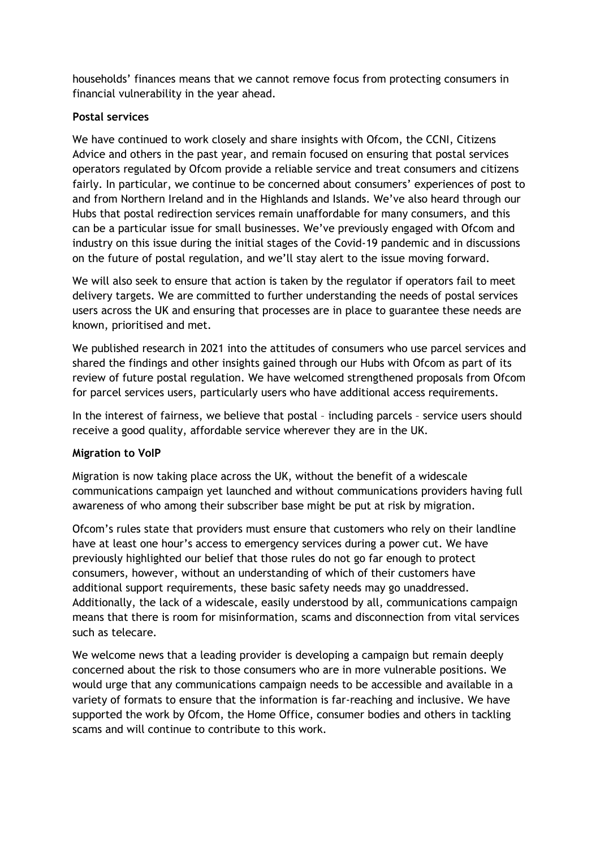households' finances means that we cannot remove focus from protecting consumers in financial vulnerability in the year ahead.

### **Postal services**

We have continued to work closely and share insights with Ofcom, the CCNI, Citizens Advice and others in the past year, and remain focused on ensuring that postal services operators regulated by Ofcom provide a reliable service and treat consumers and citizens fairly. In particular, we continue to be concerned about consumers' experiences of post to and from Northern Ireland and in the Highlands and Islands. We've also heard through our Hubs that postal redirection services remain unaffordable for many consumers, and this can be a particular issue for small businesses. We've previously engaged with Ofcom and industry on this issue during the initial stages of the Covid-19 pandemic and in discussions on the future of postal regulation, and we'll stay alert to the issue moving forward.

We will also seek to ensure that action is taken by the regulator if operators fail to meet delivery targets. We are committed to further understanding the needs of postal services users across the UK and ensuring that processes are in place to guarantee these needs are known, prioritised and met.

We published research in 2021 into the attitudes of consumers who use parcel services and shared the findings and other insights gained through our Hubs with Ofcom as part of its review of future postal regulation. We have welcomed strengthened proposals from Ofcom for parcel services users, particularly users who have additional access requirements.

In the interest of fairness, we believe that postal – including parcels – service users should receive a good quality, affordable service wherever they are in the UK.

# **Migration to VoIP**

Migration is now taking place across the UK, without the benefit of a widescale communications campaign yet launched and without communications providers having full awareness of who among their subscriber base might be put at risk by migration.

Ofcom's rules state that providers must ensure that customers who rely on their landline have at least one hour's access to emergency services during a power cut. We have previously highlighted our belief that those rules do not go far enough to protect consumers, however, without an understanding of which of their customers have additional support requirements, these basic safety needs may go unaddressed. Additionally, the lack of a widescale, easily understood by all, communications campaign means that there is room for misinformation, scams and disconnection from vital services such as telecare.

We welcome news that a leading provider is developing a campaign but remain deeply concerned about the risk to those consumers who are in more vulnerable positions. We would urge that any communications campaign needs to be accessible and available in a variety of formats to ensure that the information is far-reaching and inclusive. We have supported the work by Ofcom, the Home Office, consumer bodies and others in tackling scams and will continue to contribute to this work.